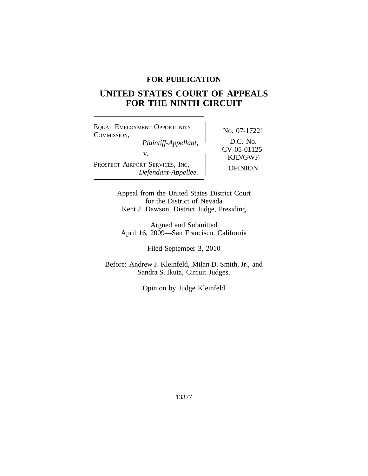# **FOR PUBLICATION**

# **UNITED STATES COURT OF APPEALS FOR THE NINTH CIRCUIT**

<sup>E</sup>QUAL EMPLOYMENT OPPORTUNITY No. 07-17221<br>COMMISSION, *Plaintiff-Appellant,* D.C. No.<br> *CV-05-01125-*PROSPECT AIRPORT SERVICES, INC, OPINION *Defendant-Appellee.*

KJD/GWF

Appeal from the United States District Court for the District of Nevada Kent J. Dawson, District Judge, Presiding

Argued and Submitted April 16, 2009—San Francisco, California

Filed September 3, 2010

Before: Andrew J. Kleinfeld, Milan D. Smith, Jr., and Sandra S. Ikuta, Circuit Judges.

Opinion by Judge Kleinfeld

13377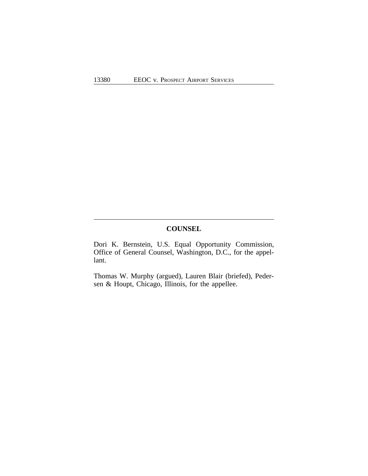# **COUNSEL**

Dori K. Bernstein, U.S. Equal Opportunity Commission, Office of General Counsel, Washington, D.C., for the appellant.

Thomas W. Murphy (argued), Lauren Blair (briefed), Pedersen & Houpt, Chicago, Illinois, for the appellee.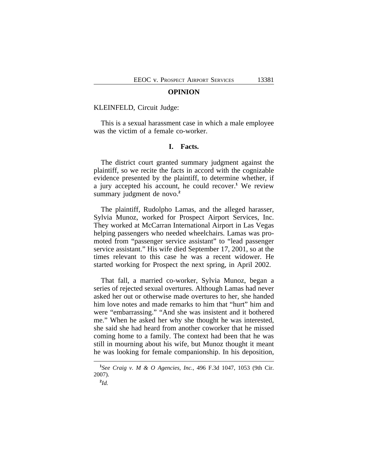#### **OPINION**

#### KLEINFELD, Circuit Judge:

This is a sexual harassment case in which a male employee was the victim of a female co-worker.

# **I. Facts.**

The district court granted summary judgment against the plaintiff, so we recite the facts in accord with the cognizable evidence presented by the plaintiff, to determine whether, if a jury accepted his account, he could recover.**<sup>1</sup>** We review summary judgment de novo.**<sup>2</sup>**

The plaintiff, Rudolpho Lamas, and the alleged harasser, Sylvia Munoz, worked for Prospect Airport Services, Inc. They worked at McCarran International Airport in Las Vegas helping passengers who needed wheelchairs. Lamas was promoted from "passenger service assistant" to "lead passenger service assistant." His wife died September 17, 2001, so at the times relevant to this case he was a recent widower. He started working for Prospect the next spring, in April 2002.

That fall, a married co-worker, Sylvia Munoz, began a series of rejected sexual overtures. Although Lamas had never asked her out or otherwise made overtures to her, she handed him love notes and made remarks to him that "hurt" him and were "embarrassing." "And she was insistent and it bothered me." When he asked her why she thought he was interested, she said she had heard from another coworker that he missed coming home to a family. The context had been that he was still in mourning about his wife, but Munoz thought it meant he was looking for female companionship. In his deposition,

**<sup>1</sup>** *See Craig v. M & O Agencies, Inc.*, 496 F.3d 1047, 1053 (9th Cir. 2007).

**<sup>2</sup>** *Id.*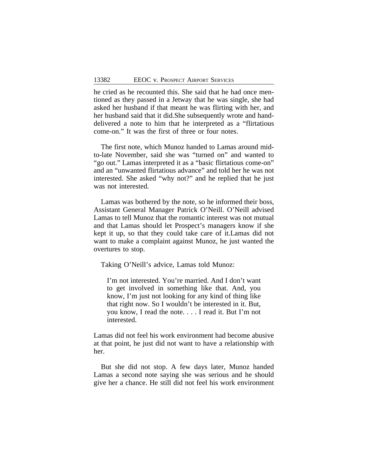he cried as he recounted this. She said that he had once mentioned as they passed in a Jetway that he was single, she had asked her husband if that meant he was flirting with her, and her husband said that it did.She subsequently wrote and handdelivered a note to him that he interpreted as a "flirtatious come-on." It was the first of three or four notes.

The first note, which Munoz handed to Lamas around midto-late November, said she was "turned on" and wanted to "go out." Lamas interpreted it as a "basic flirtatious come-on" and an "unwanted flirtatious advance" and told her he was not interested. She asked "why not?" and he replied that he just was not interested.

Lamas was bothered by the note, so he informed their boss, Assistant General Manager Patrick O'Neill. O'Neill advised Lamas to tell Munoz that the romantic interest was not mutual and that Lamas should let Prospect's managers know if she kept it up, so that they could take care of it.Lamas did not want to make a complaint against Munoz, he just wanted the overtures to stop.

Taking O'Neill's advice, Lamas told Munoz:

I'm not interested. You're married. And I don't want to get involved in something like that. And, you know, I'm just not looking for any kind of thing like that right now. So I wouldn't be interested in it. But, you know, I read the note. . . . I read it. But I'm not interested.

Lamas did not feel his work environment had become abusive at that point, he just did not want to have a relationship with her.

But she did not stop. A few days later, Munoz handed Lamas a second note saying she was serious and he should give her a chance. He still did not feel his work environment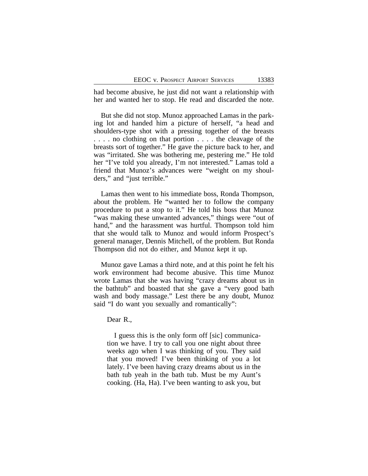had become abusive, he just did not want a relationship with her and wanted her to stop. He read and discarded the note.

But she did not stop. Munoz approached Lamas in the parking lot and handed him a picture of herself, "a head and shoulders-type shot with a pressing together of the breasts . . . . no clothing on that portion . . . . the cleavage of the breasts sort of together." He gave the picture back to her, and was "irritated. She was bothering me, pestering me." He told her "I've told you already, I'm not interested." Lamas told a friend that Munoz's advances were "weight on my shoulders," and "just terrible."

Lamas then went to his immediate boss, Ronda Thompson, about the problem. He "wanted her to follow the company procedure to put a stop to it." He told his boss that Munoz "was making these unwanted advances," things were "out of hand," and the harassment was hurtful. Thompson told him that she would talk to Munoz and would inform Prospect's general manager, Dennis Mitchell, of the problem. But Ronda Thompson did not do either, and Munoz kept it up.

Munoz gave Lamas a third note, and at this point he felt his work environment had become abusive. This time Munoz wrote Lamas that she was having "crazy dreams about us in the bathtub" and boasted that she gave a "very good bath wash and body massage." Lest there be any doubt, Munoz said "I do want you sexually and romantically":

Dear R.,

I guess this is the only form off [sic] communication we have. I try to call you one night about three weeks ago when I was thinking of you. They said that you moved! I've been thinking of you a lot lately. I've been having crazy dreams about us in the bath tub yeah in the bath tub. Must be my Aunt's cooking. (Ha, Ha). I've been wanting to ask you, but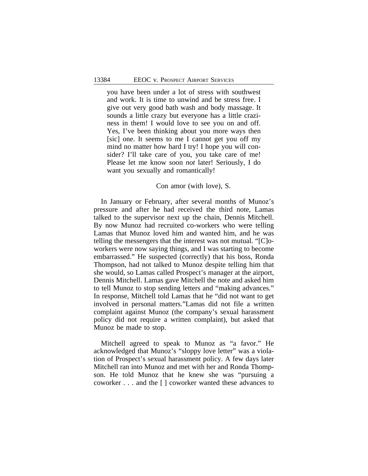you have been under a lot of stress with southwest and work. It is time to unwind and be stress free. I give out very good bath wash and body massage. It sounds a little crazy but everyone has a little craziness in them! I would love to see you on and off. Yes, I've been thinking about you more ways then [sic] one. It seems to me I cannot get you off my mind no matter how hard I try! I hope you will consider? I'll take care of you, you take care of me! Please let me know soon *not* later! Seriously, I do want you sexually and romantically!

#### Con amor (with love), S.

In January or February, after several months of Munoz's pressure and after he had received the third note, Lamas talked to the supervisor next up the chain, Dennis Mitchell. By now Munoz had recruited co-workers who were telling Lamas that Munoz loved him and wanted him, and he was telling the messengers that the interest was not mutual. "[C]oworkers were now saying things, and I was starting to become embarrassed." He suspected (correctly) that his boss, Ronda Thompson, had not talked to Munoz despite telling him that she would, so Lamas called Prospect's manager at the airport, Dennis Mitchell. Lamas gave Mitchell the note and asked him to tell Munoz to stop sending letters and "making advances." In response, Mitchell told Lamas that he "did not want to get involved in personal matters."Lamas did not file a written complaint against Munoz (the company's sexual harassment policy did not require a written complaint), but asked that Munoz be made to stop.

Mitchell agreed to speak to Munoz as "a favor." He acknowledged that Munoz's "sloppy love letter" was a violation of Prospect's sexual harassment policy. A few days later Mitchell ran into Munoz and met with her and Ronda Thompson. He told Munoz that he knew she was "pursuing a coworker . . . and the [ ] coworker wanted these advances to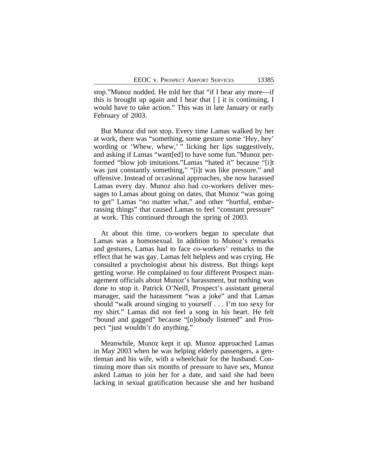stop."Munoz nodded. He told her that "if I hear any more—if this is brought up again and I hear that [ ] it is continuing, I would have to take action." This was in late January or early February of 2003.

But Munoz did not stop. Every time Lamas walked by her at work, there was "something, some gesture some 'Hey, hey' wording or 'Whew, whew,' " licking her lips suggestively, and asking if Lamas "want[ed] to have some fun."Munoz performed "blow job imitations."Lamas "hated it" because "[i]t was just constantly something," "[i]t was like pressure," and offensive. Instead of occasional approaches, she now harassed Lamas every day. Munoz also had co-workers deliver messages to Lamas about going on dates, that Munoz "was going to get" Lamas "no matter what," and other "hurtful, embarrassing things" that caused Lamas to feel "constant pressure" at work. This continued through the spring of 2003.

At about this time, co-workers began to speculate that Lamas was a homosexual. In addition to Munoz's remarks and gestures, Lamas had to face co-workers' remarks to the effect that he was gay. Lamas felt helpless and was crying. He consulted a psychologist about his distress. But things kept getting worse. He complained to four different Prospect management officials about Munoz's harassment, but nothing was done to stop it. Patrick O'Neill, Prospect's assistant general manager, said the harassment "was a joke" and that Lamas should "walk around singing to yourself . . . I'm too sexy for my shirt." Lamas did not feel a song in his heart. He felt "bound and gagged" because "[n]obody listened" and Prospect "just wouldn't do anything."

Meanwhile, Munoz kept it up. Munoz approached Lamas in May 2003 when he was helping elderly passengers, a gentleman and his wife, with a wheelchair for the husband. Continuing more than six months of pressure to have sex, Munoz asked Lamas to join her for a date, and said she had been lacking in sexual gratification because she and her husband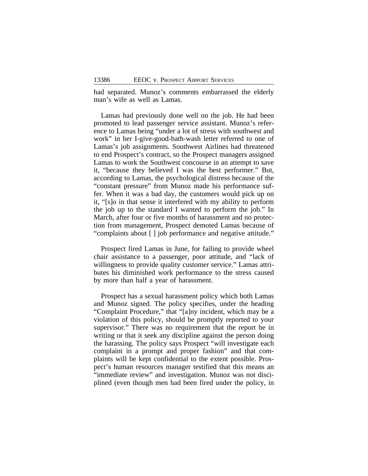had separated. Munoz's comments embarrassed the elderly man's wife as well as Lamas.

Lamas had previously done well on the job. He had been promoted to lead passenger service assistant. Munoz's reference to Lamas being "under a lot of stress with southwest and work" in her I-give-good-bath-wash letter referred to one of Lamas's job assignments. Southwest Airlines had threatened to end Prospect's contract, so the Prospect managers assigned Lamas to work the Southwest concourse in an attempt to save it, "because they believed I was the best performer." But, according to Lamas, the psychological distress because of the "constant pressure" from Munoz made his performance suffer. When it was a bad day, the customers would pick up on it, "[s]o in that sense it interfered with my ability to perform the job up to the standard I wanted to perform the job." In March, after four or five months of harassment and no protection from management, Prospect demoted Lamas because of "complaints about [ ] job performance and negative attitude."

Prospect fired Lamas in June, for failing to provide wheel chair assistance to a passenger, poor attitude, and "lack of willingness to provide quality customer service." Lamas attributes his diminished work performance to the stress caused by more than half a year of harassment.

Prospect has a sexual harassment policy which both Lamas and Munoz signed. The policy specifies, under the heading "Complaint Procedure," that "[a]ny incident, which may be a violation of this policy, should be promptly reported to your supervisor." There was no requirement that the report be in writing or that it seek any discipline against the person doing the harassing. The policy says Prospect "will investigate each complaint in a prompt and proper fashion" and that complaints will be kept confidential to the extent possible. Prospect's human resources manager testified that this means an "immediate review" and investigation. Munoz was not disciplined (even though men had been fired under the policy, in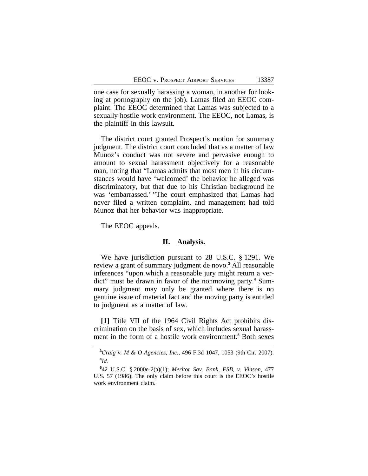one case for sexually harassing a woman, in another for looking at pornography on the job). Lamas filed an EEOC complaint. The EEOC determined that Lamas was subjected to a sexually hostile work environment. The EEOC, not Lamas, is the plaintiff in this lawsuit.

The district court granted Prospect's motion for summary judgment. The district court concluded that as a matter of law Munoz's conduct was not severe and pervasive enough to amount to sexual harassment objectively for a reasonable man, noting that "Lamas admits that most men in his circumstances would have 'welcomed' the behavior he alleged was discriminatory, but that due to his Christian background he was 'embarrassed.' "The court emphasized that Lamas had never filed a written complaint, and management had told Munoz that her behavior was inappropriate.

The EEOC appeals.

#### **II. Analysis.**

We have jurisdiction pursuant to 28 U.S.C. § 1291. We review a grant of summary judgment de novo.**<sup>3</sup>** All reasonable inferences "upon which a reasonable jury might return a verdict" must be drawn in favor of the nonmoving party.**<sup>4</sup>** Summary judgment may only be granted where there is no genuine issue of material fact and the moving party is entitled to judgment as a matter of law.

**[1]** Title VII of the 1964 Civil Rights Act prohibits discrimination on the basis of sex, which includes sexual harassment in the form of a hostile work environment.**<sup>5</sup>** Both sexes

**<sup>3</sup>***Craig v. M & O Agencies, Inc.*, 496 F.3d 1047, 1053 (9th Cir. 2007). **4** *Id.*

**<sup>5</sup>** 42 U.S.C. § 2000e-2(a)(1); *Meritor Sav. Bank, FSB, v. Vinson*, 477 U.S. 57 (1986). The only claim before this court is the EEOC's hostile work environment claim.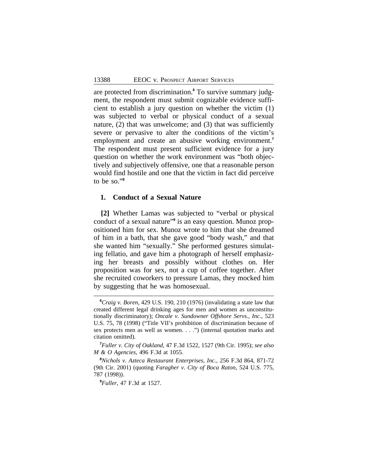are protected from discrimination.**<sup>6</sup>** To survive summary judgment, the respondent must submit cognizable evidence sufficient to establish a jury question on whether the victim (1) was subjected to verbal or physical conduct of a sexual nature, (2) that was unwelcome; and (3) that was sufficiently severe or pervasive to alter the conditions of the victim's employment and create an abusive working environment.**<sup>7</sup>** The respondent must present sufficient evidence for a jury question on whether the work environment was "both objectively and subjectively offensive, one that a reasonable person would find hostile and one that the victim in fact did perceive to be so." **8**

### **1. Conduct of a Sexual Nature**

**[2]** Whether Lamas was subjected to "verbal or physical conduct of a sexual nature" **9** is an easy question. Munoz propositioned him for sex. Munoz wrote to him that she dreamed of him in a bath, that she gave good "body wash," and that she wanted him "sexually." She performed gestures simulating fellatio, and gave him a photograph of herself emphasizing her breasts and possibly without clothes on. Her proposition was for sex, not a cup of coffee together. After she recruited coworkers to pressure Lamas, they mocked him by suggesting that he was homosexual.

**<sup>6</sup>***Craig v. Boren*, 429 U.S. 190, 210 (1976) (invalidating a state law that created different legal drinking ages for men and women as unconstitutionally discriminatory); *Oncale v. Sundowner Offshore Servs., Inc.*, 523 U.S. 75, 78 (1998) ("Title VII's prohibition of discrimination because of sex protects men as well as women. . . .") (internal quotation marks and citation omitted).

**<sup>7</sup>***Fuller v. City of Oakland*, 47 F.3d 1522, 1527 (9th Cir. 1995); *see also M & O Agencies*, 496 F.3d at 1055.

**<sup>8</sup>***Nichols v. Azteca Restaurant Enterprises, Inc.*, 256 F.3d 864, 871-72 (9th Cir. 2001) (quoting *Faragher v. City of Boca Raton*, 524 U.S. 775, 787 (1998)).

**<sup>9</sup>***Fuller*, 47 F.3d at 1527.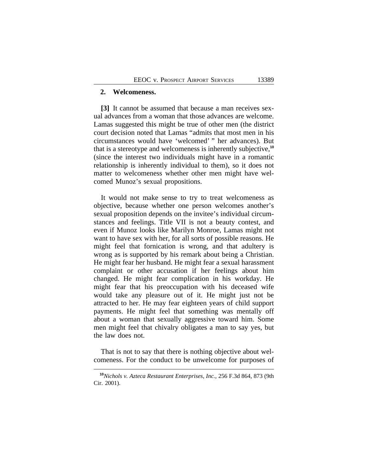#### **2. Welcomeness.**

**[3]** It cannot be assumed that because a man receives sexual advances from a woman that those advances are welcome. Lamas suggested this might be true of other men (the district court decision noted that Lamas "admits that most men in his circumstances would have 'welcomed' " her advances). But that is a stereotype and welcomeness is inherently subjective,**<sup>10</sup>** (since the interest two individuals might have in a romantic relationship is inherently individual to them), so it does not matter to welcomeness whether other men might have welcomed Munoz's sexual propositions.

It would not make sense to try to treat welcomeness as objective, because whether one person welcomes another's sexual proposition depends on the invitee's individual circumstances and feelings. Title VII is not a beauty contest, and even if Munoz looks like Marilyn Monroe, Lamas might not want to have sex with her, for all sorts of possible reasons. He might feel that fornication is wrong, and that adultery is wrong as is supported by his remark about being a Christian. He might fear her husband. He might fear a sexual harassment complaint or other accusation if her feelings about him changed. He might fear complication in his workday. He might fear that his preoccupation with his deceased wife would take any pleasure out of it. He might just not be attracted to her. He may fear eighteen years of child support payments. He might feel that something was mentally off about a woman that sexually aggressive toward him. Some men might feel that chivalry obligates a man to say yes, but the law does not.

That is not to say that there is nothing objective about welcomeness. For the conduct to be unwelcome for purposes of

**<sup>10</sup>***Nichols v. Azteca Restaurant Enterprises, Inc.*, 256 F.3d 864, 873 (9th Cir. 2001).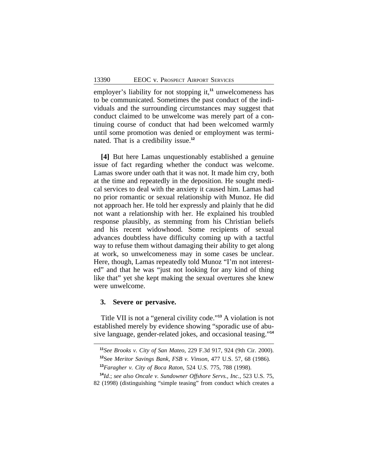employer's liability for not stopping it,**<sup>11</sup>** unwelcomeness has to be communicated. Sometimes the past conduct of the individuals and the surrounding circumstances may suggest that conduct claimed to be unwelcome was merely part of a continuing course of conduct that had been welcomed warmly until some promotion was denied or employment was terminated. That is a credibility issue.**<sup>12</sup>**

**[4]** But here Lamas unquestionably established a genuine issue of fact regarding whether the conduct was welcome. Lamas swore under oath that it was not. It made him cry, both at the time and repeatedly in the deposition. He sought medical services to deal with the anxiety it caused him. Lamas had no prior romantic or sexual relationship with Munoz. He did not approach her. He told her expressly and plainly that he did not want a relationship with her. He explained his troubled response plausibly, as stemming from his Christian beliefs and his recent widowhood. Some recipients of sexual advances doubtless have difficulty coming up with a tactful way to refuse them without damaging their ability to get along at work, so unwelcomeness may in some cases be unclear. Here, though, Lamas repeatedly told Munoz "I'm not interested" and that he was "just not looking for any kind of thing like that" yet she kept making the sexual overtures she knew were unwelcome.

## **3. Severe or pervasive.**

Title VII is not a "general civility code." **<sup>13</sup>** A violation is not established merely by evidence showing "sporadic use of abusive language, gender-related jokes, and occasional teasing." **14**

**<sup>11</sup>***See Brooks v. City of San Mateo*, 229 F.3d 917, 924 (9th Cir. 2000). **<sup>12</sup>**See *Meritor Savings Bank, FSB v. Vinson*, 477 U.S. 57, 68 (1986). **<sup>13</sup>***Faragher v. City of Boca Raton*, 524 U.S. 775, 788 (1998).

**<sup>14</sup>***Id.*; *see also Oncale v. Sundowner Offshore Servs., Inc.*, 523 U.S. 75, 82 (1998) (distinguishing "simple teasing" from conduct which creates a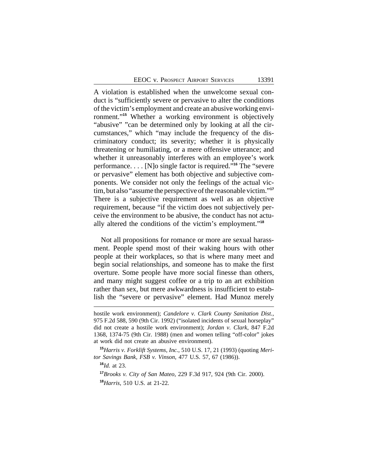A violation is established when the unwelcome sexual conduct is "sufficiently severe or pervasive to alter the conditions of the victim's employment and create an abusive working environment."**<sup>15</sup>** Whether a working environment is objectively "abusive" "can be determined only by looking at all the circumstances," which "may include the frequency of the discriminatory conduct; its severity; whether it is physically threatening or humiliating, or a mere offensive utterance; and whether it unreasonably interferes with an employee's work performance. . . . [N]o single factor is required." **<sup>16</sup>** The "severe or pervasive" element has both objective and subjective components. We consider not only the feelings of the actual victim, but also "assume the perspective of the reasonable victim." **17** There is a subjective requirement as well as an objective requirement, because "if the victim does not subjectively perceive the environment to be abusive, the conduct has not actually altered the conditions of the victim's employment." **18**

Not all propositions for romance or more are sexual harassment. People spend most of their waking hours with other people at their workplaces, so that is where many meet and begin social relationships, and someone has to make the first overture. Some people have more social finesse than others, and many might suggest coffee or a trip to an art exhibition rather than sex, but mere awkwardness is insufficient to establish the "severe or pervasive" element. Had Munoz merely

**<sup>15</sup>***Harris v. Forklift Systems, Inc.*, 510 U.S. 17, 21 (1993) (quoting *Meritor Savings Bank, FSB v. Vinson*, 477 U.S. 57, 67 (1986)).

**<sup>16</sup>***Id.* at 23.

**<sup>17</sup>***Brooks v. City of San Mateo*, 229 F.3d 917, 924 (9th Cir. 2000). **<sup>18</sup>***Harris*, 510 U.S. at 21-22.

hostile work environment); *Candelore v. Clark County Sanitation Dist.*, 975 F.2d 588, 590 (9th Cir. 1992) ("isolated incidents of sexual horseplay" did not create a hostile work environment); *Jordan v. Clark*, 847 F.2d 1368, 1374-75 (9th Cir. 1988) (men and women telling "off-color" jokes at work did not create an abusive environment).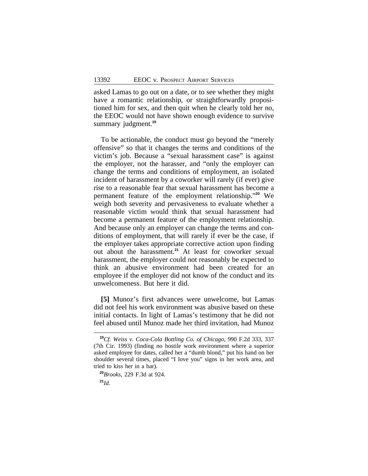asked Lamas to go out on a date, or to see whether they might have a romantic relationship, or straightforwardly propositioned him for sex, and then quit when he clearly told her no, the EEOC would not have shown enough evidence to survive summary judgment.**<sup>19</sup>**

To be actionable, the conduct must go beyond the "merely offensive" so that it changes the terms and conditions of the victim's job. Because a "sexual harassment case" is against the employer, not the harasser, and "only the employer can change the terms and conditions of employment, an isolated incident of harassment by a coworker will rarely (if ever) give rise to a reasonable fear that sexual harassment has become a permanent feature of the employment relationship." **<sup>20</sup>** We weigh both severity and pervasiveness to evaluate whether a reasonable victim would think that sexual harassment had become a permanent feature of the employment relationship. And because only an employer can change the terms and conditions of employment, that will rarely if ever be the case, if the employer takes appropriate corrective action upon finding out about the harassment.**<sup>21</sup>** At least for coworker sexual harassment, the employer could not reasonably be expected to think an abusive environment had been created for an employee if the employer did not know of the conduct and its unwelcomeness. But here it did.

**[5]** Munoz's first advances were unwelcome, but Lamas did not feel his work environment was abusive based on these initial contacts. In light of Lamas's testimony that he did not feel abused until Munoz made her third invitation, had Munoz

**<sup>19</sup>***Cf. Weiss v. Coca-Cola Bottling Co. of Chicago*, 990 F.2d 333, 337 (7th Cir. 1993) (finding no hostile work environment where a superior asked employee for dates, called her a "dumb blond," put his hand on her shoulder several times, placed "I love you" signs in her work area, and tried to kiss her in a bar).

**<sup>20</sup>***Brooks*, 229 F.3d at 924.

**<sup>21</sup>***Id.*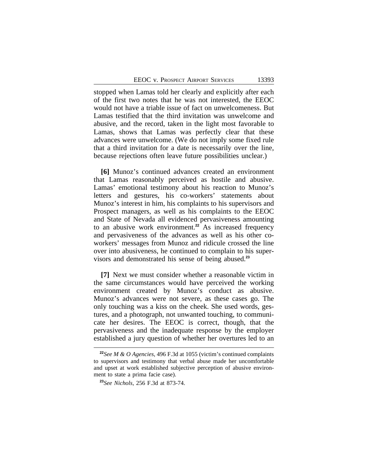stopped when Lamas told her clearly and explicitly after each of the first two notes that he was not interested, the EEOC would not have a triable issue of fact on unwelcomeness. But Lamas testified that the third invitation was unwelcome and abusive, and the record, taken in the light most favorable to Lamas, shows that Lamas was perfectly clear that these advances were unwelcome. (We do not imply some fixed rule that a third invitation for a date is necessarily over the line, because rejections often leave future possibilities unclear.)

**[6]** Munoz's continued advances created an environment that Lamas reasonably perceived as hostile and abusive. Lamas' emotional testimony about his reaction to Munoz's letters and gestures, his co-workers' statements about Munoz's interest in him, his complaints to his supervisors and Prospect managers, as well as his complaints to the EEOC and State of Nevada all evidenced pervasiveness amounting to an abusive work environment.**<sup>22</sup>** As increased frequency and pervasiveness of the advances as well as his other coworkers' messages from Munoz and ridicule crossed the line over into abusiveness, he continued to complain to his supervisors and demonstrated his sense of being abused.**<sup>23</sup>**

**[7]** Next we must consider whether a reasonable victim in the same circumstances would have perceived the working environment created by Munoz's conduct as abusive. Munoz's advances were not severe, as these cases go. The only touching was a kiss on the cheek. She used words, gestures, and a photograph, not unwanted touching, to communicate her desires. The EEOC is correct, though, that the pervasiveness and the inadequate response by the employer established a jury question of whether her overtures led to an

**<sup>22</sup>***See M & O Agencies*, 496 F.3d at 1055 (victim's continued complaints to supervisors and testimony that verbal abuse made her uncomfortable and upset at work established subjective perception of abusive environment to state a prima facie case).

**<sup>23</sup>***See Nichols*, 256 F.3d at 873-74.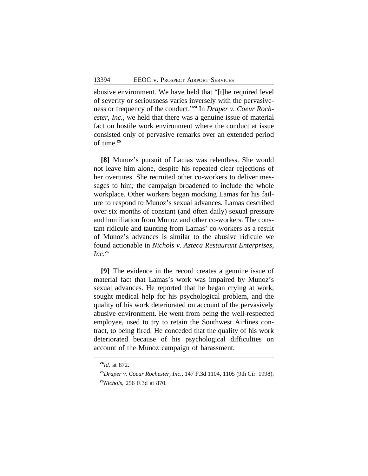abusive environment. We have held that "[t]he required level of severity or seriousness varies inversely with the pervasiveness or frequency of the conduct." **24** In *Draper v. Coeur Rochester, Inc.*, we held that there was a genuine issue of material fact on hostile work environment where the conduct at issue consisted only of pervasive remarks over an extended period of time.**<sup>25</sup>**

**[8]** Munoz's pursuit of Lamas was relentless. She would not leave him alone, despite his repeated clear rejections of her overtures. She recruited other co-workers to deliver messages to him; the campaign broadened to include the whole workplace. Other workers began mocking Lamas for his failure to respond to Munoz's sexual advances. Lamas described over six months of constant (and often daily) sexual pressure and humiliation from Munoz and other co-workers. The constant ridicule and taunting from Lamas' co-workers as a result of Munoz's advances is similar to the abusive ridicule we found actionable in *Nichols v. Azteca Restaurant Enterprises, Inc.***<sup>26</sup>**

**[9]** The evidence in the record creates a genuine issue of material fact that Lamas's work was impaired by Munoz's sexual advances. He reported that he began crying at work, sought medical help for his psychological problem, and the quality of his work deteriorated on account of the pervasively abusive environment. He went from being the well-respected employee, used to try to retain the Southwest Airlines contract, to being fired. He conceded that the quality of his work deteriorated because of his psychological difficulties on account of the Munoz campaign of harassment.

**<sup>24</sup>***Id.* at 872.

**<sup>25</sup>***Draper v. Coeur Rochester, Inc.*, 147 F.3d 1104, 1105 (9th Cir. 1998). **<sup>26</sup>***Nichols*, 256 F.3d at 870.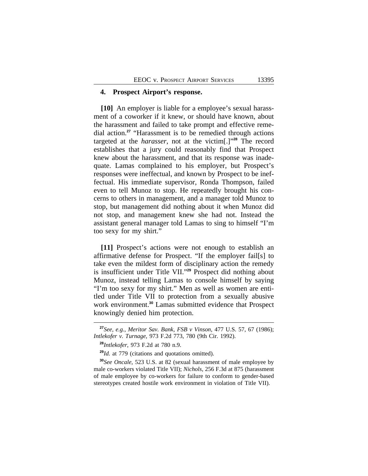## **4. Prospect Airport's response.**

**[10]** An employer is liable for a employee's sexual harassment of a coworker if it knew, or should have known, about the harassment and failed to take prompt and effective remedial action.**<sup>27</sup>** "Harassment is to be remedied through actions targeted at the *harasser*, not at the victim[.]" **<sup>28</sup>** The record establishes that a jury could reasonably find that Prospect knew about the harassment, and that its response was inadequate. Lamas complained to his employer, but Prospect's responses were ineffectual, and known by Prospect to be ineffectual. His immediate supervisor, Ronda Thompson, failed even to tell Munoz to stop. He repeatedly brought his concerns to others in management, and a manager told Munoz to stop, but management did nothing about it when Munoz did not stop, and management knew she had not. Instead the assistant general manager told Lamas to sing to himself "I'm too sexy for my shirt."

**[11]** Prospect's actions were not enough to establish an affirmative defense for Prospect. "If the employer fail[s] to take even the mildest form of disciplinary action the remedy is insufficient under Title VII." **<sup>29</sup>** Prospect did nothing about Munoz, instead telling Lamas to console himself by saying "I'm too sexy for my shirt." Men as well as women are entitled under Title VII to protection from a sexually abusive work environment.**<sup>30</sup>** Lamas submitted evidence that Prospect knowingly denied him protection.

**<sup>27</sup>***See, e.g.*, *Meritor Sav. Bank, FSB v Vinson*, 477 U.S. 57, 67 (1986); *Intlekofer v. Turnage*, 973 F.2d 773, 780 (9th Cir. 1992).

**<sup>28</sup>***Intlekofer*, 973 F.2d at 780 n.9.

**<sup>29</sup>***Id.* at 779 (citations and quotations omitted).

**<sup>30</sup>***See Oncale*, 523 U.S. at 82 (sexual harassment of male employee by male co-workers violated Title VII); *Nichols*, 256 F.3d at 875 (harassment of male employee by co-workers for failure to conform to gender-based stereotypes created hostile work environment in violation of Title VII).